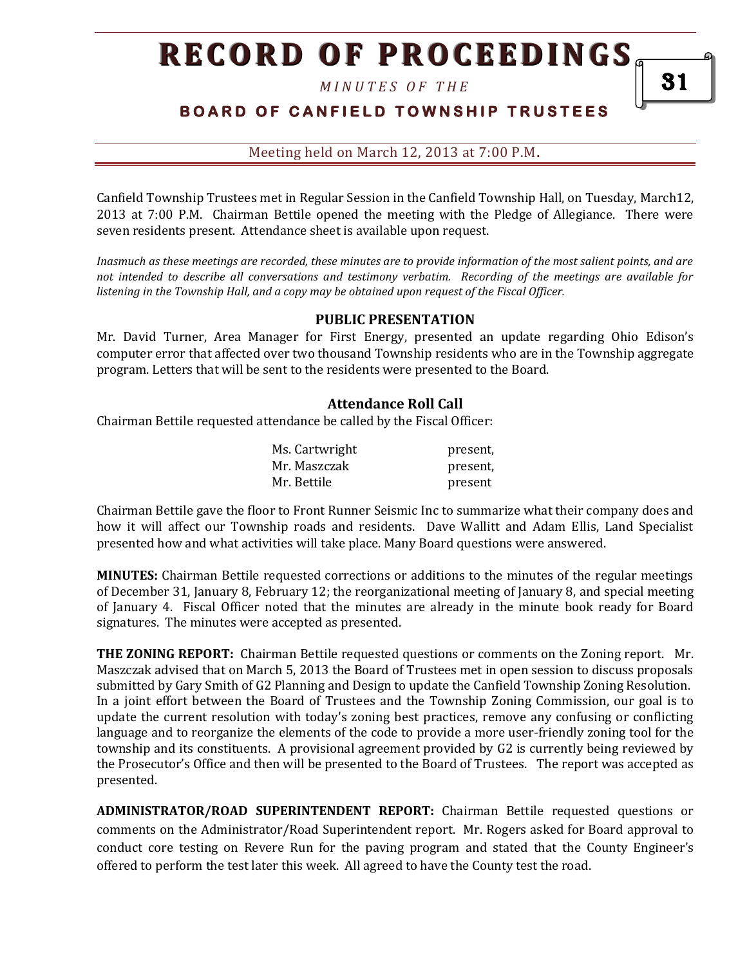*M I N U T E S O F T H E* 

# **BOARD OF CANFIELD TOWNSHIP TRUSTEES**

Meeting held on March 12, 2013 at 7:00 P.M**.**

Canfield Township Trustees met in Regular Session in the Canfield Township Hall, on Tuesday, March12, 2013 at 7:00 P.M. Chairman Bettile opened the meeting with the Pledge of Allegiance. There were seven residents present. Attendance sheet is available upon request.

*Inasmuch as these meetings are recorded, these minutes are to provide information of the most salient points, and are not intended to describe all conversations and testimony verbatim. Recording of the meetings are available for listening in the Township Hall, and a copy may be obtained upon request of the Fiscal Officer.* 

#### **PUBLIC PRESENTATION**

Mr. David Turner, Area Manager for First Energy, presented an update regarding Ohio Edison's computer error that affected over two thousand Township residents who are in the Township aggregate program. Letters that will be sent to the residents were presented to the Board.

#### **Attendance Roll Call**

Chairman Bettile requested attendance be called by the Fiscal Officer:

| Ms. Cartwright | present, |
|----------------|----------|
| Mr. Maszczak   | present, |
| Mr. Bettile    | present  |

Chairman Bettile gave the floor to Front Runner Seismic Inc to summarize what their company does and how it will affect our Township roads and residents. Dave Wallitt and Adam Ellis, Land Specialist presented how and what activities will take place. Many Board questions were answered.

**MINUTES:** Chairman Bettile requested corrections or additions to the minutes of the regular meetings of December 31, January 8, February 12; the reorganizational meeting of January 8, and special meeting of January 4. Fiscal Officer noted that the minutes are already in the minute book ready for Board signatures. The minutes were accepted as presented.

**THE ZONING REPORT:** Chairman Bettile requested questions or comments on the Zoning report. Mr. Maszczak advised that on March 5, 2013 the Board of Trustees met in open session to discuss proposals submitted by Gary Smith of G2 Planning and Design to update the Canfield Township Zoning Resolution. In a joint effort between the Board of Trustees and the Township Zoning Commission, our goal is to update the current resolution with today's zoning best practices, remove any confusing or conflicting language and to reorganize the elements of the code to provide a more user-friendly zoning tool for the township and its constituents. A provisional agreement provided by G2 is currently being reviewed by the Prosecutor's Office and then will be presented to the Board of Trustees. The report was accepted as presented.

**ADMINISTRATOR/ROAD SUPERINTENDENT REPORT:** Chairman Bettile requested questions or comments on the Administrator/Road Superintendent report. Mr. Rogers asked for Board approval to conduct core testing on Revere Run for the paving program and stated that the County Engineer's offered to perform the test later this week. All agreed to have the County test the road.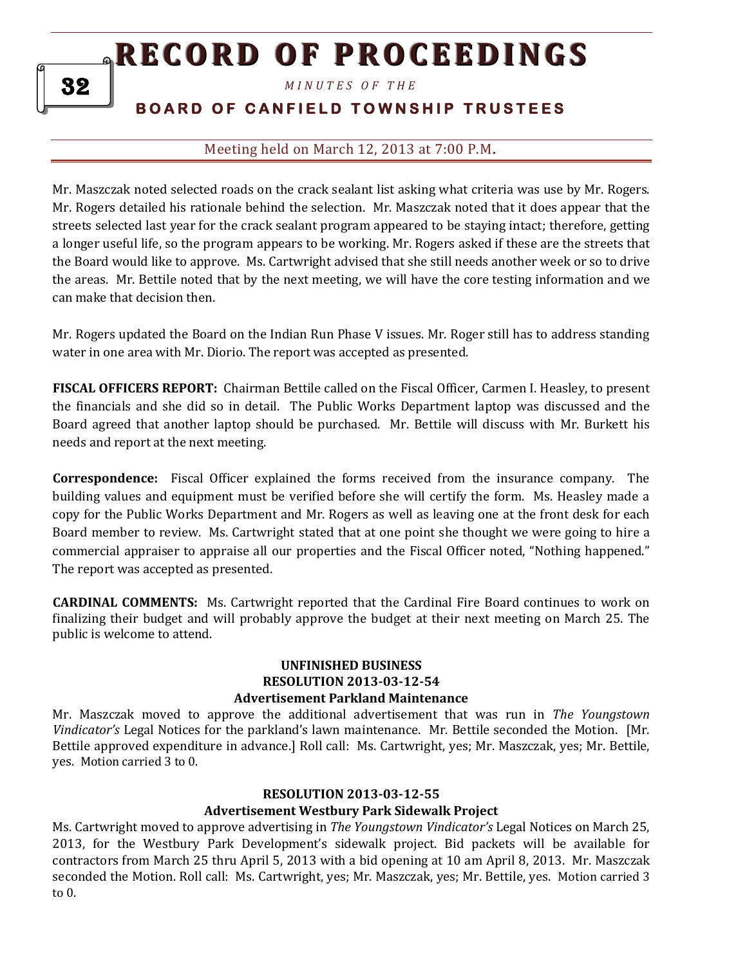*M I N U T E S O F T H E* 

# **B O A R D O F C A N F I E L D T O W N S H I P T R U S T E E S**

## Meeting held on March 12, 2013 at 7:00 P.M**.**

Mr. Maszczak noted selected roads on the crack sealant list asking what criteria was use by Mr. Rogers. Mr. Rogers detailed his rationale behind the selection. Mr. Maszczak noted that it does appear that the streets selected last year for the crack sealant program appeared to be staying intact; therefore, getting a longer useful life, so the program appears to be working. Mr. Rogers asked if these are the streets that the Board would like to approve. Ms. Cartwright advised that she still needs another week or so to drive the areas. Mr. Bettile noted that by the next meeting, we will have the core testing information and we can make that decision then.

Mr. Rogers updated the Board on the Indian Run Phase V issues. Mr. Roger still has to address standing water in one area with Mr. Diorio. The report was accepted as presented.

**FISCAL OFFICERS REPORT:** Chairman Bettile called on the Fiscal Officer, Carmen I. Heasley, to present the financials and she did so in detail. The Public Works Department laptop was discussed and the Board agreed that another laptop should be purchased. Mr. Bettile will discuss with Mr. Burkett his needs and report at the next meeting.

**Correspondence:** Fiscal Officer explained the forms received from the insurance company. The building values and equipment must be verified before she will certify the form. Ms. Heasley made a copy for the Public Works Department and Mr. Rogers as well as leaving one at the front desk for each Board member to review. Ms. Cartwright stated that at one point she thought we were going to hire a commercial appraiser to appraise all our properties and the Fiscal Officer noted, "Nothing happened." The report was accepted as presented.

**CARDINAL COMMENTS:** Ms. Cartwright reported that the Cardinal Fire Board continues to work on finalizing their budget and will probably approve the budget at their next meeting on March 25. The public is welcome to attend.

#### **UNFINISHED BUSINESS RESOLUTION 2013-03-12-54 Advertisement Parkland Maintenance**

Mr. Maszczak moved to approve the additional advertisement that was run in *The Youngstown Vindicator's* Legal Notices for the parkland's lawn maintenance. Mr. Bettile seconded the Motion. [Mr. Bettile approved expenditure in advance.] Roll call: Ms. Cartwright, yes; Mr. Maszczak, yes; Mr. Bettile, yes. Motion carried 3 to 0.

### **RESOLUTION 2013-03-12-55**

### **Advertisement Westbury Park Sidewalk Project**

Ms. Cartwright moved to approve advertising in *The Youngstown Vindicator's* Legal Notices on March 25, 2013, for the Westbury Park Development's sidewalk project. Bid packets will be available for contractors from March 25 thru April 5, 2013 with a bid opening at 10 am April 8, 2013. Mr. Maszczak seconded the Motion. Roll call: Ms. Cartwright, yes; Mr. Maszczak, yes; Mr. Bettile, yes. Motion carried 3 to 0.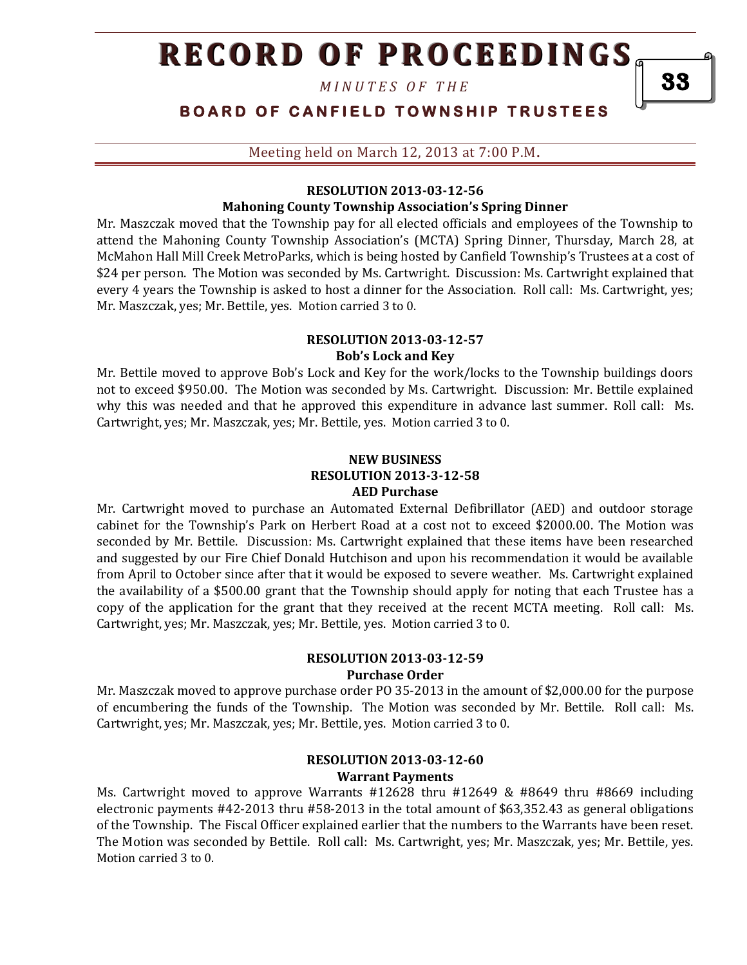*M I N U T E S O F T H E* 

# **BOARD OF CANFIELD TOWNSHIP TRUSTEES**

Meeting held on March 12, 2013 at 7:00 P.M**.**

#### **RESOLUTION 2013-03-12-56**

### **Mahoning County Township Association's Spring Dinner**

Mr. Maszczak moved that the Township pay for all elected officials and employees of the Township to attend the Mahoning County Township Association's (MCTA) Spring Dinner, Thursday, March 28, at McMahon Hall Mill Creek MetroParks, which is being hosted by Canfield Township's Trustees at a cost of \$24 per person. The Motion was seconded by Ms. Cartwright. Discussion: Ms. Cartwright explained that every 4 years the Township is asked to host a dinner for the Association. Roll call: Ms. Cartwright, yes; Mr. Maszczak, yes; Mr. Bettile, yes. Motion carried 3 to 0.

#### **RESOLUTION 2013-03-12-57 Bob's Lock and Key**

Mr. Bettile moved to approve Bob's Lock and Key for the work/locks to the Township buildings doors not to exceed \$950.00. The Motion was seconded by Ms. Cartwright. Discussion: Mr. Bettile explained why this was needed and that he approved this expenditure in advance last summer. Roll call: Ms. Cartwright, yes; Mr. Maszczak, yes; Mr. Bettile, yes. Motion carried 3 to 0.

#### **NEW BUSINESS RESOLUTION 2013-3-12-58 AED Purchase**

Mr. Cartwright moved to purchase an Automated External Defibrillator (AED) and outdoor storage cabinet for the Township's Park on Herbert Road at a cost not to exceed \$2000.00. The Motion was seconded by Mr. Bettile. Discussion: Ms. Cartwright explained that these items have been researched and suggested by our Fire Chief Donald Hutchison and upon his recommendation it would be available from April to October since after that it would be exposed to severe weather. Ms. Cartwright explained the availability of a \$500.00 grant that the Township should apply for noting that each Trustee has a copy of the application for the grant that they received at the recent MCTA meeting. Roll call: Ms. Cartwright, yes; Mr. Maszczak, yes; Mr. Bettile, yes. Motion carried 3 to 0.

#### **RESOLUTION 2013-03-12-59 Purchase Order**

Mr. Maszczak moved to approve purchase order PO 35-2013 in the amount of \$2,000.00 for the purpose of encumbering the funds of the Township. The Motion was seconded by Mr. Bettile. Roll call: Ms. Cartwright, yes; Mr. Maszczak, yes; Mr. Bettile, yes. Motion carried 3 to 0.

### **RESOLUTION 2013-03-12-60 Warrant Payments**

Ms. Cartwright moved to approve Warrants #12628 thru #12649 & #8649 thru #8669 including electronic payments #42-2013 thru #58-2013 in the total amount of \$63,352.43 as general obligations of the Township. The Fiscal Officer explained earlier that the numbers to the Warrants have been reset. The Motion was seconded by Bettile. Roll call: Ms. Cartwright, yes; Mr. Maszczak, yes; Mr. Bettile, yes. Motion carried 3 to 0.